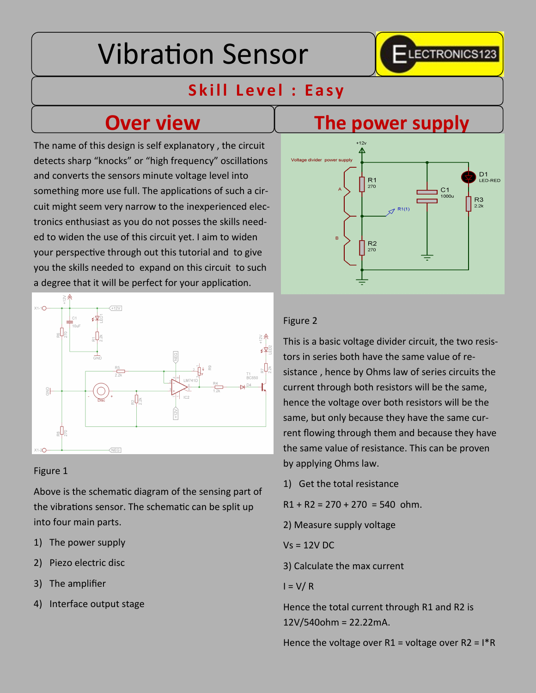# Vibration Sensor

## -LECTRONICS123

### **Skill Level : Easy**

### **Over view**

The name of this design is self explanatory , the circuit detects sharp "knocks" or "high frequency" oscillations and converts the sensors minute voltage level into something more use full. The applications of such a circuit might seem very narrow to the inexperienced electronics enthusiast as you do not posses the skills needed to widen the use of this circuit yet. I aim to widen your perspective through out this tutorial and to give you the skills needed to expand on this circuit to such a degree that it will be perfect for your application.



#### Figure 1

Above is the schematic diagram of the sensing part of the vibrations sensor. The schematic can be split up into four main parts.

- 1) The power supply
- 2) Piezo electric disc
- 3) The amplifier
- 4) Interface output stage

### **The power supply**



### Figure 2

This is a basic voltage divider circuit, the two resistors in series both have the same value of resistance , hence by Ohms law of series circuits the current through both resistors will be the same, hence the voltage over both resistors will be the same, but only because they have the same current flowing through them and because they have the same value of resistance. This can be proven by applying Ohms law.

1) Get the total resistance

 $R1 + R2 = 270 + 270 = 540$  ohm.

2) Measure supply voltage

 $Vs = 12V$  DC

3) Calculate the max current

 $I = V/R$ 

Hence the total current through R1 and R2 is 12V/540ohm = 22.22mA.

Hence the voltage over  $R1$  = voltage over  $R2 = I^*R$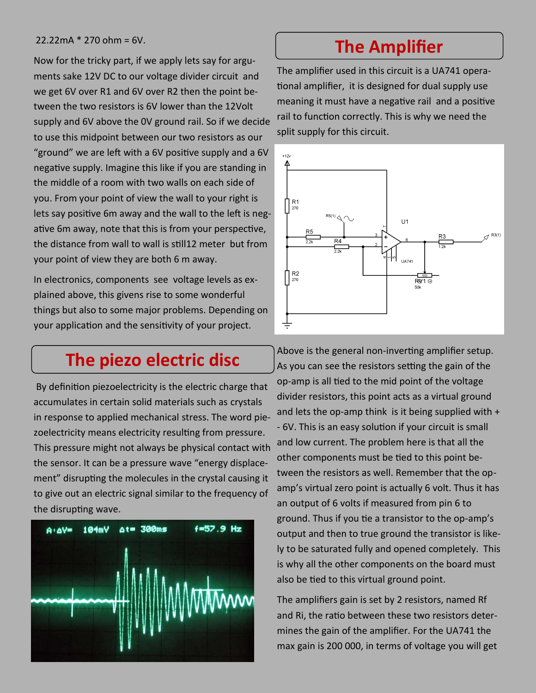#### 22.22mA \* 270 ohm = 6V.

Now for the tricky part, if we apply lets say for arguments sake 12V DC to our voltage divider circuit and we get 6V over R1 and 6V over R2 then the point between the two resistors is 6V lower than the 12Volt supply and 6V above the 0V ground rail. So if we decide to use this midpoint between our two resistors as our "ground" we are left with a 6V positive supply and a 6V negative supply. Imagine this like if you are standing in the middle of a room with two walls on each side of you. From your point of view the wall to your right is lets say positive 6m away and the wall to the left is negative 6m away, note that this is from your perspective, the distance from wall to wall is still12 meter but from your point of view they are both 6 m away.

In electronics, components see voltage levels as explained above, this givens rise to some wonderful things but also to some major problems. Depending on your application and the sensitivity of your project.

### **The piezo electric disc**

By definition piezoelectricity is the [electric charge](http://en.wikipedia.org/wiki/Electric_charge) that accumulates in certain solid materials such as [crystals](http://en.wikipedia.org/wiki/Crystal) in response to applied mechanical [stress.](http://en.wikipedia.org/wiki/Stress_%28physics%29) The word piezoelectricity means electricity resulting from pressure. This pressure might not always be physical contact with the sensor. It can be a pressure wave "energy displacement" disrupting the molecules in the crystal causing it to give out an electric signal similar to the frequency of the disrupting wave.



### **The Amplifier**

The amplifier used in this circuit is a UA741 operational amplifier, it is designed for dual supply use meaning it must have a negative rail and a positive rail to function correctly. This is why we need the split supply for this circuit.



Above is the general non-inverting amplifier setup. As you can see the resistors setting the gain of the op-amp is all tied to the mid point of the voltage divider resistors, this point acts as a virtual ground and lets the op-amp think is it being supplied with  $+$ - 6V. This is an easy solution if your circuit is small and low current. The problem here is that all the other components must be tied to this point between the resistors as well. Remember that the opamp's virtual zero point is actually 6 volt. Thus it has an output of 6 volts if measured from pin 6 to ground. Thus if you tie a transistor to the op-amp's output and then to true ground the transistor is likely to be saturated fully and opened completely. This is why all the other components on the board must also be tied to this virtual ground point.

The amplifiers gain is set by 2 resistors, named Rf and Ri, the ratio between these two resistors determines the gain of the amplifier. For the UA741 the max gain is 200 000, in terms of voltage you will get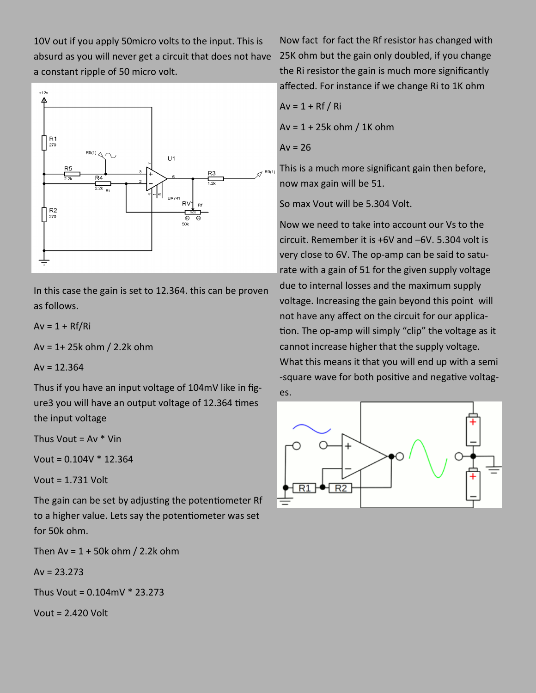10V out if you apply 50micro volts to the input. This is absurd as you will never get a circuit that does not have a constant ripple of 50 micro volt.



In this case the gain is set to 12.364. this can be proven as follows.

 $Av = 1 + Rf/Ri$ 

Av = 1+ 25k ohm / 2.2k ohm

 $Av = 12.364$ 

Thus if you have an input voltage of 104mV like in figure3 you will have an output voltage of 12.364 times the input voltage

Thus Vout =  $Av * Vin$ 

Vout =  $0.104V * 12.364$ 

Vout = 1.731 Volt

The gain can be set by adjusting the potentiometer Rf to a higher value. Lets say the potentiometer was set for 50k ohm.

Then Av =  $1 + 50k$  ohm / 2.2k ohm

 $Av = 23.273$ 

Thus Vout = 0.104mV \* 23.273

Vout = 2.420 Volt

Now fact for fact the Rf resistor has changed with 25K ohm but the gain only doubled, if you change the Ri resistor the gain is much more significantly affected. For instance if we change Ri to 1K ohm

$$
Av = 1 + Rf / Ri
$$
  
Av = 1 + 25k ohm / 1K ohm  
Av = 26

This is a much more significant gain then before, now max gain will be 51.

So max Vout will be 5.304 Volt.

Now we need to take into account our Vs to the circuit. Remember it is +6V and –6V. 5.304 volt is very close to 6V. The op-amp can be said to saturate with a gain of 51 for the given supply voltage due to internal losses and the maximum supply voltage. Increasing the gain beyond this point will not have any affect on the circuit for our application. The op-amp will simply "clip" the voltage as it cannot increase higher that the supply voltage. What this means it that you will end up with a semi -square wave for both positive and negative voltages.